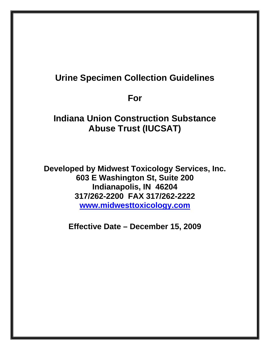# **Urine Specimen Collection Guidelines**

**For** 

# **Indiana Union Construction Substance Abuse Trust (IUCSAT)**

**Developed by Midwest Toxicology Services, Inc. 603 E Washington St, Suite 200 Indianapolis, IN 46204 317/262-2200 FAX 317/262-2222 www.midwesttoxicology.com** 

**Effective Date – December 15, 2009**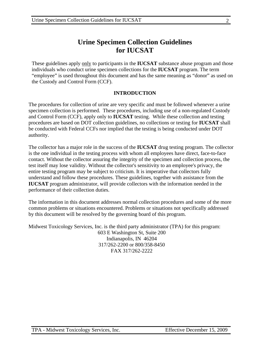## **Urine Specimen Collection Guidelines for IUCSAT**

These guidelines apply only to participants in the **IUCSAT** substance abuse program and those individuals who conduct urine specimen collections for the **IUCSAT** program. The term "employee" is used throughout this document and has the same meaning as "donor" as used on the Custody and Control Form (CCF).

#### **INTRODUCTION**

The procedures for collection of urine are very specific and must be followed whenever a urine specimen collection is performed. These procedures, including use of a non-regulated Custody and Control Form (CCF), apply only to **IUCSAT** testing. While these collection and testing procedures are based on DOT collection guidelines, no collections or testing for **IUCSAT** shall be conducted with Federal CCFs nor implied that the testing is being conducted under DOT authority.

The collector has a major role in the success of the **IUCSAT** drug testing program. The collector is the one individual in the testing process with whom all employees have direct, face-to-face contact. Without the collector assuring the integrity of the specimen and collection process, the test itself may lose validity. Without the collector's sensitivity to an employee's privacy, the entire testing program may be subject to criticism. It is imperative that collectors fully understand and follow these procedures. These guidelines, together with assistance from the **IUCSAT** program administrator, will provide collectors with the information needed in the performance of their collection duties.

The information in this document addresses normal collection procedures and some of the more common problems or situations encountered. Problems or situations not specifically addressed by this document will be resolved by the governing board of this program.

Midwest Toxicology Services, Inc. is the third party administrator (TPA) for this program: 603 E Washington St, Suite 200 Indianapolis, IN 46204 317/262-2200 or 800/358-8450 FAX 317/262-2222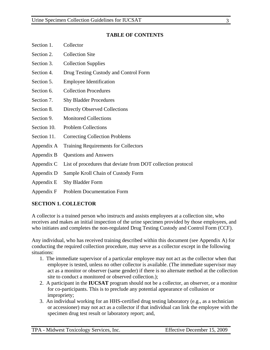#### **TABLE OF CONTENTS**

- Section 1. Collector
- Section 2. Collection Site
- Section 3. Collection Supplies
- Section 4. Drug Testing Custody and Control Form
- Section 5. Employee Identification
- Section 6. Collection Procedures
- Section 7. Shy Bladder Procedures
- Section 8. Directly Observed Collections
- Section 9. Monitored Collections
- Section 10. Problem Collections
- Section 11. Correcting Collection Problems
- Appendix A Training Requirements for Collectors
- Appendix B Questions and Answers
- Appendix C List of procedures that deviate from DOT collection protocol
- Appendix D Sample Kroll Chain of Custody Form
- Appendix E Shy Bladder Form
- Appendix F Problem Documentation Form

## **SECTION 1. COLLECTOR**

A collector is a trained person who instructs and assists employees at a collection site, who receives and makes an initial inspection of the urine specimen provided by those employees, and who initiates and completes the non-regulated Drug Testing Custody and Control Form (CCF).

Any individual, who has received training described within this document (see Appendix A) for conducting the required collection procedure, may serve as a collector except in the following situations:

- 1. The immediate supervisor of a particular employee may not act as the collector when that employee is tested, unless no other collector is available. (The immediate supervisor may act as a monitor or observer (same gender) if there is no alternate method at the collection site to conduct a monitored or observed collection.);
- 2. A participant in the **IUCSAT** program should not be a collector, an observer, or a monitor for co-participants. This is to preclude any potential appearance of collusion or impropriety;
- 3. An individual working for an HHS-certified drug testing laboratory (e.g., as a technician or accessioner) may not act as a collector if that individual can link the employee with the specimen drug test result or laboratory report; and,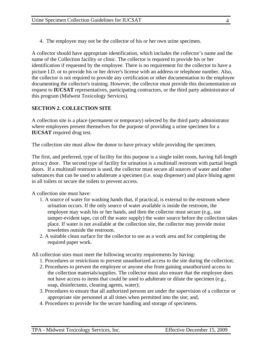4. The employee may not be the collector of his or her own urine specimen.

A collector should have appropriate identification, which includes the collector's name and the name of the Collection facility or clinic. The collector is required to provide his or her identification if requested by the employee. There is no requirement for the collector to have a picture I.D. or to provide his or her driver's license with an address or telephone number. Also, the collector is not required to provide any certification or other documentation to the employee documenting the collector's training. However, the collector must provide this documentation on request to **IUCSAT** representatives, participating contractors, or the third party administrator of this program (Midwest Toxicology Services).

## **SECTION 2. COLLECTION SITE**

A collection site is a place (permanent or temporary) selected by the third party administrator where employees present themselves for the purpose of providing a urine specimen for a **IUCSAT** required drug test.

The collection site must allow the donor to have privacy while providing the specimen.

The first, and preferred, type of facility for this purpose is a single toilet room, having full-length privacy door. The second type of facility for urination is a multistall restroom with partial length doors. If a multistall restroom is used, the collector must secure all sources of water and other substances that can be used to adulterate a specimen (i.e. soap dispenser) and place bluing agent in all toilets or secure the toilets to prevent access.

A collection site must have:

- 1. A source of water for washing hands that, if practical, is external to the restroom where urination occurs. If the only source of water available is inside the restroom, the employee may wash his or her hands, and then the collector must secure (e.g., use tamper-evident tape, cut off the water supply) the water source before the collection takes place. If water is not available at the collection site, the collector may provide moist towelettes outside the restroom.
- 2. A suitable clean surface for the collector to use as a work area and for completing the required paper work.

All collection sites must meet the following security requirements by having:

- 1. Procedures or restrictions to prevent unauthorized access to the site during the collection;
- 2. Procedures to prevent the employee or anyone else from gaining unauthorized access to the collection materials/supplies. The collector must also ensure that the employee does not have access to items that could be used to adulterate or dilute the specimen (e.g., soap, disinfectants, cleaning agents, water);
- 3. Procedures to ensure that all authorized persons are under the supervision of a collector or appropriate site personnel at all times when permitted into the site; and,
- 4. Procedures to provide for the secure handling and storage of specimens.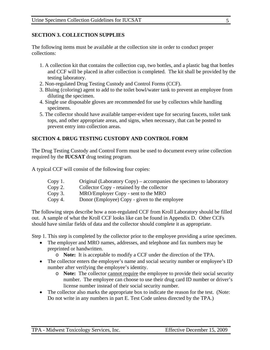#### **SECTION 3. COLLECTION SUPPLIES**

The following items must be available at the collection site in order to conduct proper collections:

- 1. A collection kit that contains the collection cup, two bottles, and a plastic bag that bottles and CCF will be placed in after collection is completed. The kit shall be provided by the testing laboratory.
- 2. Non-regulated Drug Testing Custody and Control Forms (CCF).
- 3. Bluing (coloring) agent to add to the toilet bowl/water tank to prevent an employee from diluting the specimen.
- 4. Single use disposable gloves are recommended for use by collectors while handling specimens.
- 5. The collector should have available tamper-evident tape for securing faucets, toilet tank tops, and other appropriate areas, and signs, when necessary, that can be posted to prevent entry into collection areas.

## **SECTION 4. DRUG TESTING CUSTODY AND CONTROL FORM**

The Drug Testing Custody and Control Form must be used to document every urine collection required by the **IUCSAT** drug testing program.

A typical CCF will consist of the following four copies:

- Copy 1. Original (Laboratory Copy) accompanies the specimen to laboratory
- Copy 2. Collector Copy retained by the collector
- Copy 3. MRO/Employer Copy sent to the MRO
- Copy 4. Donor (Employee) Copy given to the employee

The following steps describe how a non-regulated CCF from Kroll Laboratory should be filled out. A sample of what the Kroll CCF looks like can be found in Appendix D. Other CCFs should have similar fields of data and the collector should complete it as appropriate.

Step 1. This step is completed by the collector prior to the employee providing a urine specimen.

- The employer and MRO names, addresses, and telephone and fax numbers may be preprinted or handwritten.
	- o **Note:** It is acceptable to modify a CCF under the direction of the TPA.
- The collector enters the employee's name and social security number or employee's ID number after verifying the employee's identity.
	- o **Note:** The collector cannot require the employee to provide their social security number. The employee can choose to use their drug card ID number or driver's license number instead of their social security number.
- The collector also marks the appropriate box to indicate the reason for the test. (Note: Do not write in any numbers in part E. Test Code unless directed by the TPA.)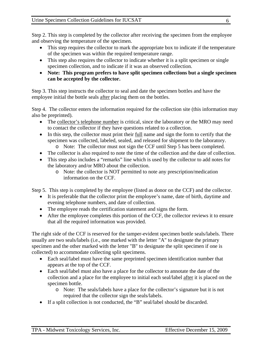Step 2. This step is completed by the collector after receiving the specimen from the employee and observing the temperature of the specimen.

- This step requires the collector to mark the appropriate box to indicate if the temperature of the specimen was within the required temperature range.
- This step also requires the collector to indicate whether it is a split specimen or single specimen collection, and to indicate if it was an observed collection.
- **Note: This program prefers to have split specimen collections but a single specimen can be accepted by the collector.**

Step 3. This step instructs the collector to seal and date the specimen bottles and have the employee initial the bottle seals after placing them on the bottles.

Step 4. The collector enters the information required for the collection site (this information may also be preprinted).

- The collector's telephone number is critical, since the laboratory or the MRO may need to contact the collector if they have questions related to a collection.
- In this step, the collector must print their full name and sign the form to certify that the specimen was collected, labeled, sealed, and released for shipment to the laboratory.
	- o Note: The collector must not sign the CCF until Step 5 has been completed.
- The collector is also required to note the time of the collection and the date of collection.
- This step also includes a "remarks" line which is used by the collector to add notes for the laboratory and/or MRO about the collection.
	- o Note: the collector is NOT permitted to note any prescription/medication information on the CCF.

Step 5. This step is completed by the employee (listed as donor on the CCF) and the collector.

- It is preferable that the collector print the employee's name, date of birth, daytime and evening telephone numbers, and date of collection.
- The employee reads the certification statement and signs the form.
- After the employee completes this portion of the CCF, the collector reviews it to ensure that all the required information was provided.

The right side of the CCF is reserved for the tamper-evident specimen bottle seals/labels. There usually are two seals/labels (i.e., one marked with the letter "A" to designate the primary specimen and the other marked with the letter "B" to designate the split specimen if one is collected) to accommodate collecting split specimens.

- Each seal/label must have the same preprinted specimen identification number that appears at the top of the CCF.
- Each seal/label must also have a place for the collector to annotate the date of the collection and a place for the employee to initial each seal/label after it is placed on the specimen bottle.
	- o Note: The seals/labels have a place for the collector's signature but it is not required that the collector sign the seals/labels.
- If a split collection is not conducted, the "B" seal/label should be discarded.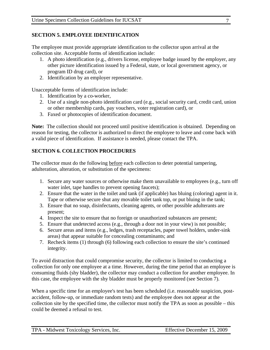### **SECTION 5. EMPLOYEE IDENTIFICATION**

The employee must provide appropriate identification to the collector upon arrival at the collection site. Acceptable forms of identification include:

- 1. A photo identification (e.g., drivers license, employee badge issued by the employer, any other picture identification issued by a Federal, state, or local government agency, or program ID drug card), or
- 2. Identification by an employer representative.

Unacceptable forms of identification include:

- 1. Identification by a co-worker,
- 2. Use of a single non-photo identification card (e.g., social security card, credit card, union or other membership cards, pay vouchers, voter registration card), or
- 3. Faxed or photocopies of identification document.

**Note:** The collection should not proceed until positive identification is obtained. Depending on reason for testing, the collector is authorized to direct the employee to leave and come back with a valid piece of identification. If assistance is needed, please contact the TPA.

## **SECTION 6. COLLECTION PROCEDURES**

The collector must do the following before each collection to deter potential tampering, adulteration, alteration, or substitution of the specimens:

- 1. Secure any water sources or otherwise make them unavailable to employees (e.g., turn off water inlet, tape handles to prevent opening faucets);
- 2. Ensure that the water in the toilet and tank (if applicable) has bluing (coloring) agent in it. Tape or otherwise secure shut any movable toilet tank top, or put bluing in the tank;
- 3. Ensure that no soap, disinfectants, cleaning agents, or other possible adulterants are present;
- 4. Inspect the site to ensure that no foreign or unauthorized substances are present;
- 5. Ensure that undetected access (e.g., through a door not in your view) is not possible;
- 6. Secure areas and items (e.g., ledges, trash receptacles, paper towel holders, under-sink areas) that appear suitable for concealing contaminants; and
- 7. Recheck items (1) through (6) following each collection to ensure the site's continued integrity.

To avoid distraction that could compromise security, the collector is limited to conducting a collection for only one employee at a time. However, during the time period that an employee is consuming fluids (shy bladder), the collector may conduct a collection for another employee. In this case, the employee with the shy bladder must be properly monitored (see Section 7).

When a specific time for an employee's test has been scheduled (*i.e.* reasonable suspicion, postaccident, follow-up, or immediate random tests) and the employee does not appear at the collection site by the specified time, the collector must notify the TPA as soon as possible – this could be deemed a refusal to test.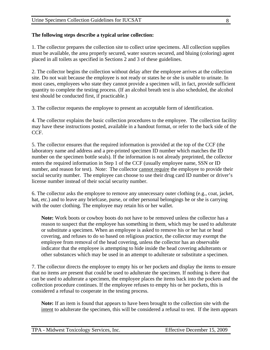#### **The following steps describe a typical urine collection:**

1. The collector prepares the collection site to collect urine specimens. All collection supplies must be available, the area properly secured, water sources secured, and bluing (coloring) agent placed in all toilets as specified in Sections 2 and 3 of these guidelines.

2. The collector begins the collection without delay after the employee arrives at the collection site. Do not wait because the employee is not ready or states he or she is unable to urinate. In most cases, employees who state they cannot provide a specimen will, in fact, provide sufficient quantity to complete the testing process. (If an alcohol breath test is also scheduled, the alcohol test should be conducted first, if practicable.)

3. The collector requests the employee to present an acceptable form of identification.

4. The collector explains the basic collection procedures to the employee. The collection facility may have these instructions posted, available in a handout format, or refer to the back side of the CCF.

5. The collector ensures that the required information is provided at the top of the CCF (the laboratory name and address and a pre-printed specimen ID number which matches the ID number on the specimen bottle seals). If the information is not already preprinted, the collector enters the required information in Step 1 of the CCF (usually employee name, SSN or ID number, and reason for test). Note: The collector cannot require the employee to provide their social security number. The employee can choose to use their drug card ID number or driver's license number instead of their social security number.

6. The collector asks the employee to remove any unnecessary outer clothing (e.g., coat, jacket, hat, etc.) and to leave any briefcase, purse, or other personal belongings he or she is carrying with the outer clothing. The employee may retain his or her wallet.

**Note:** Work boots or cowboy boots do not have to be removed unless the collector has a reason to suspect that the employee has something in them, which may be used to adulterate or substitute a specimen. When an employee is asked to remove his or her hat or head covering, and refuses to do so based on religious practice, the collector may exempt the employee from removal of the head covering, unless the collector has an observable indicator that the employee is attempting to hide inside the head covering adulterants or other substances which may be used in an attempt to adulterate or substitute a specimen.

7. The collector directs the employee to empty his or her pockets and display the items to ensure that no items are present that could be used to adulterate the specimen. If nothing is there that can be used to adulterate a specimen, the employee places the items back into the pockets and the collection procedure continues. If the employee refuses to empty his or her pockets, this is considered a refusal to cooperate in the testing process.

**Note:** If an item is found that appears to have been brought to the collection site with the intent to adulterate the specimen, this will be considered a refusal to test. If the item appears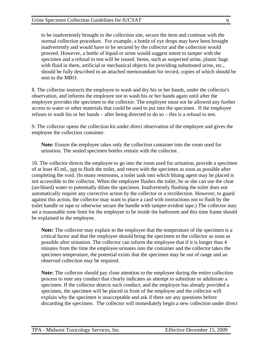to be inadvertently brought to the collection site, secure the item and continue with the normal collection procedure. For example, a bottle of eye drops may have been brought inadvertently and would have to be secured by the collector and the collection would proceed. However, a bottle of liquid or urine would suggest intent to tamper with the specimen and a refusal to test will be issued. Items, such as suspected urine, plastic bags with fluid in them, artificial or mechanical objects for providing substituted urine, etc., should be fully described in an attached memorandum for record, copies of which should be sent to the MRO.

8. The collector instructs the employee to wash and dry his or her hands, under the collector's observation, and informs the employee not to wash his or her hands again until after the employee provides the specimen to the collector. The employee must not be allowed any further access to water or other materials that could be used to put into the specimen. If the employee refuses to wash his or her hands – after being directed to do so – this is a refusal to test.

9. The collector opens the collection kit under direct observation of the employee and gives the employee the collection container.

**Note:** Ensure the employee takes only the collection container into the room used for urination. The sealed specimen bottles remain with the collector.

10. The collector directs the employee to go into the room used for urination, provide a specimen of at least 45 mL, not to flush the toilet, and return with the specimen as soon as possible after completing the void. (In many restrooms, a toilet tank into which bluing agent may be placed is not accessible to the collector. When the employee flushes the toilet, he or she can use the clear (un-blued) water to potentially dilute the specimen. Inadvertently flushing the toilet does not automatically require any corrective action by the collector or a recollection. However, to guard against this action, the collector may want to place a card with instructions not to flush by the toilet handle or tape or otherwise secure the handle with tamper-evident tape.) The collector may set a reasonable time limit for the employee to be inside the bathroom and this time frame should be explained to the employee.

**Note:** The collector may explain to the employee that the temperature of the specimen is a critical factor and that the employee should bring the specimen to the collector as soon as possible after urination. The collector can inform the employee that if it is longer than 4 minutes from the time the employee urinates into the container and the collector takes the specimen temperature, the potential exists that the specimen may be out of range and an observed collection may be required.

**Note:** The collector should pay close attention to the employee during the entire collection process to note any conduct that clearly indicates an attempt to substitute or adulterate a specimen. If the collector detects such conduct, and the employee has already provided a specimen, the specimen will be placed in front of the employee and the collector will explain why the specimen is unacceptable and ask if there are any questions before discarding the specimen. The collector will immediately begin a new collection under direct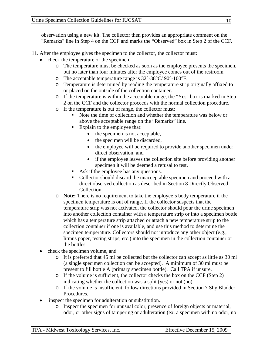observation using a new kit. The collector then provides an appropriate comment on the "Remarks" line in Step 4 on the CCF and marks the "Observed" box in Step 2 of the CCF.

- 11. After the employee gives the specimen to the collector, the collector must:
	- check the temperature of the specimen,
		- o The temperature must be checked as soon as the employee presents the specimen, but no later than four minutes after the employee comes out of the restroom.
		- o The acceptable temperature range is  $32^{\circ}$ -38°C/ 90°-100°F.
		- o Temperature is determined by reading the temperature strip originally affixed to or placed on the outside of the collection container.
		- o If the temperature is within the acceptable range, the "Yes" box is marked in Step 2 on the CCF and the collector proceeds with the normal collection procedure.
		- o If the temperature is out of range, the collector must:
			- Note the time of collection and whether the temperature was below or above the acceptable range on the "Remarks" line.
			- Explain to the employee that:
				- the specimen is not acceptable,
				- the specimen will be discarded,
				- the employee will be required to provide another specimen under direct observation, and
				- if the employee leaves the collection site before providing another specimen it will be deemed a refusal to test.
			- Ask if the employee has any questions.
			- Collector should discard the unacceptable specimen and proceed with a direct observed collection as described in Section 8 Directly Observed Collection.
		- o **Note:** There is no requirement to take the employee's body temperature if the specimen temperature is out of range. If the collector suspects that the temperature strip was not activated, the collector should pour the urine specimen into another collection container with a temperature strip or into a specimen bottle which has a temperature strip attached or attach a new temperature strip to the collection container if one is available, and use this method to determine the specimen temperature. Collectors should not introduce any other object (e.g., litmus paper, testing strips, etc.) into the specimen in the collection container or the bottles.
	- check the specimen volume, and
		- o It is preferred that 45 ml be collected but the collector can accept as little as 30 ml (a single specimen collection can be accepted). A minimum of 30 ml must be present to fill bottle A (primary specimen bottle). Call TPA if unsure.
		- $\circ$  If the volume is sufficient, the collector checks the box on the CCF (Step 2) indicating whether the collection was a split (yes) or not (no).
		- o If the volume is insufficient, follow directions provided in Section 7 Shy Bladder Procedures.
	- inspect the specimen for adulteration or substitution.
		- o Inspect the specimen for unusual color, presence of foreign objects or material, odor, or other signs of tampering or adulteration (ex. a specimen with no odor, no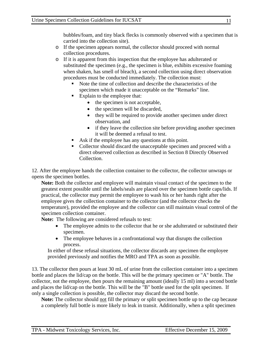bubbles/foam, and tiny black flecks is commonly observed with a specimen that is carried into the collection site).

- o If the specimen appears normal, the collector should proceed with normal collection procedures.
- o If it is apparent from this inspection that the employee has adulterated or substituted the specimen (e.g., the specimen is blue, exhibits excessive foaming when shaken, has smell of bleach), a second collection using direct observation procedures must be conducted immediately. The collection must:
	- Note the time of collection and describe the characteristics of the specimen which made it unacceptable on the "Remarks" line.
	- Explain to the employee that:
		- $\bullet$  the specimen is not acceptable,
		- the specimen will be discarded,
		- they will be required to provide another specimen under direct observation, and
		- if they leave the collection site before providing another specimen it will be deemed a refusal to test.
	- Ask if the employee has any questions at this point.
	- Collector should discard the unacceptable specimen and proceed with a direct observed collection as described in Section 8 Directly Observed Collection.

12. After the employee hands the collection container to the collector, the collector unwraps or opens the specimen bottles.

**Note:** Both the collector and employee will maintain visual contact of the specimen to the greatest extent possible until the labels/seals are placed over the specimen bottle caps/lids. If practical, the collector may permit the employee to wash his or her hands right after the employee gives the collection container to the collector (and the collector checks the temperature), provided the employee and the collector can still maintain visual control of the specimen collection container.

**Note:** The following are considered refusals to test:

- The employee admits to the collector that he or she adulterated or substituted their specimen.
- The employee behaves in a confrontational way that disrupts the collection process.

In either of these refusal situations, the collector discards any specimen the employee provided previously and notifies the MRO and TPA as soon as possible.

13. The collector then pours at least 30 mL of urine from the collection container into a specimen bottle and places the lid/cap on the bottle. This will be the primary specimen or "A" bottle. The collector, not the employee, then pours the remaining amount (ideally 15 ml) into a second bottle and places the lid/cap on the bottle. This will be the "B" bottle used for the split specimen. If only a single collection is possible, the collector may discard the second bottle.

**Note:** The collector should not fill the primary or split specimen bottle up to the cap because a completely full bottle is more likely to leak in transit. Additionally, when a split specimen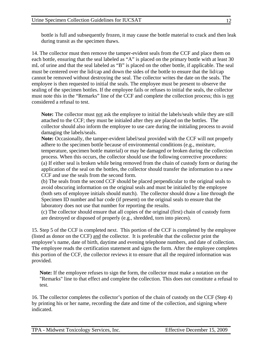bottle is full and subsequently frozen, it may cause the bottle material to crack and then leak during transit as the specimen thaws.

14. The collector must then remove the tamper-evident seals from the CCF and place them on each bottle, ensuring that the seal labeled as "A" is placed on the primary bottle with at least 30 mL of urine and that the seal labeled as "B" is placed on the other bottle, if applicable. The seal must be centered over the lid/cap and down the sides of the bottle to ensure that the lid/cap cannot be removed without destroying the seal. The collector writes the date on the seals. The employee is then requested to initial the seals. The employee must be present to observe the sealing of the specimen bottles. If the employee fails or refuses to initial the seals, the collector must note this in the "Remarks" line of the CCF and complete the collection process; this is not considered a refusal to test.

**Note:** The collector must not ask the employee to initial the labels/seals while they are still attached to the CCF; they must be initialed after they are placed on the bottles. The collector should also inform the employee to use care during the initialing process to avoid damaging the labels/seals.

**Note:** Occasionally, the tamper-evident label/seal provided with the CCF will not properly adhere to the specimen bottle because of environmental conditions (e.g., moisture, temperature, specimen bottle material) or may be damaged or broken during the collection process. When this occurs, the collector should use the following corrective procedures: (a) If either seal is broken while being removed from the chain of custody form or during the application of the seal on the bottles, the collector should transfer the information to a new CCF and use the seals from the second form.

(b) The seals from the second CCF should be placed perpendicular to the original seals to avoid obscuring information on the original seals and must be initialed by the employee (both sets of employee initials should match). The collector should draw a line through the Specimen ID number and bar code (if present) on the original seals to ensure that the laboratory does not use that number for reporting the results.

(c) The collector should ensure that all copies of the original (first) chain of custody form are destroyed or disposed of properly (e.g., shredded, torn into pieces).

15. Step 5 of the CCF is completed next. This portion of the CCF is completed by the employee (listed as donor on the CCF) and the collector. It is preferable that the collector print the employee's name, date of birth, daytime and evening telephone numbers, and date of collection. The employee reads the certification statement and signs the form. After the employee completes this portion of the CCF, the collector reviews it to ensure that all the required information was provided.

**Note:** If the employee refuses to sign the form, the collector must make a notation on the "Remarks" line to that effect and complete the collection. This does not constitute a refusal to test.

16. The collector completes the collector's portion of the chain of custody on the CCF (Step 4) by printing his or her name, recording the date and time of the collection, and signing where indicated.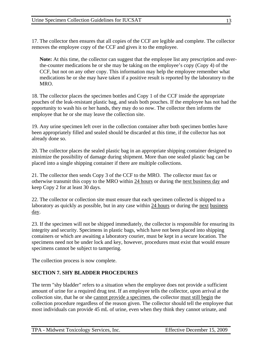17. The collector then ensures that all copies of the CCF are legible and complete. The collector removes the employee copy of the CCF and gives it to the employee.

**Note:** At this time, the collector can suggest that the employee list any prescription and overthe-counter medications he or she may be taking on the employee's copy (Copy 4) of the CCF, but not on any other copy. This information may help the employee remember what medications he or she may have taken if a positive result is reported by the laboratory to the MRO.

18. The collector places the specimen bottles and Copy 1 of the CCF inside the appropriate pouches of the leak-resistant plastic bag, and seals both pouches. If the employee has not had the opportunity to wash his or her hands, they may do so now. The collector then informs the employee that he or she may leave the collection site.

19. Any urine specimen left over in the collection container after both specimen bottles have been appropriately filled and sealed should be discarded at this time, if the collector has not already done so.

20. The collector places the sealed plastic bag in an appropriate shipping container designed to minimize the possibility of damage during shipment. More than one sealed plastic bag can be placed into a single shipping container if there are multiple collections.

21. The collector then sends Copy 3 of the CCF to the MRO. The collector must fax or otherwise transmit this copy to the MRO within 24 hours or during the next business day and keep Copy 2 for at least 30 days.

22. The collector or collection site must ensure that each specimen collected is shipped to a laboratory as quickly as possible, but in any case within 24 hours or during the next business day.

23. If the specimen will not be shipped immediately, the collector is responsible for ensuring its integrity and security. Specimens in plastic bags, which have not been placed into shipping containers or which are awaiting a laboratory courier, must be kept in a secure location. The specimens need not be under lock and key, however, procedures must exist that would ensure specimens cannot be subject to tampering.

The collection process is now complete.

#### **SECTION 7. SHY BLADDER PROCEDURES**

The term "shy bladder" refers to a situation when the employee does not provide a sufficient amount of urine for a required drug test. If an employee tells the collector, upon arrival at the collection site, that he or she cannot provide a specimen, the collector must still begin the collection procedure regardless of the reason given. The collector should tell the employee that most individuals can provide 45 mL of urine, even when they think they cannot urinate, and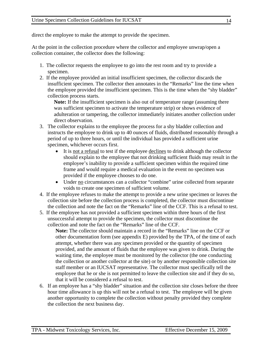direct the employee to make the attempt to provide the specimen.

At the point in the collection procedure where the collector and employee unwrap/open a collection container, the collector does the following:

- 1. The collector requests the employee to go into the rest room and try to provide a specimen.
- 2. If the employee provided an initial insufficient specimen, the collector discards the insufficient specimen. The collector then annotates in the "Remarks" line the time when the employee provided the insufficient specimen. This is the time when the "shy bladder" collection process starts.

**Note:** If the insufficient specimen is also out of temperature range (assuming there was sufficient specimen to activate the temperature strip) or shows evidence of adulteration or tampering, the collector immediately initiates another collection under direct observation.

- 3. The collector explains to the employee the process for a shy bladder collection and instructs the employee to drink up to 40 ounces of fluids, distributed reasonably through a period of up to three hours, or until the individual has provided a sufficient urine specimen, whichever occurs first.
	- It is not a refusal to test if the employee declines to drink although the collector should explain to the employee that not drinking sufficient fluids may result in the employee's inability to provide a sufficient specimen within the required time frame and would require a medical evaluation in the event no specimen was provided if the employee chooses to do one.
	- Under no circumstances can a collector "combine" urine collected from separate voids to create one specimen of sufficient volume.
- 4. If the employee refuses to make the attempt to provide a new urine specimen or leaves the collection site before the collection process is completed, the collector must discontinue the collection and note the fact on the "Remarks" line of the CCF. This is a refusal to test.
- 5. If the employee has not provided a sufficient specimen within three hours of the first unsuccessful attempt to provide the specimen, the collector must discontinue the collection and note the fact on the "Remarks" line of the CCF.

**Note:** The collector should maintain a record in the "Remarks" line on the CCF or other documentation form (see appendix E) provided by the TPA, of the time of each attempt, whether there was any specimen provided or the quantity of specimen provided, and the amount of fluids that the employee was given to drink. During the waiting time, the employee must be monitored by the collector (the one conducting the collection or another collector at the site) or by another responsible collection site staff member or an IUCSAT representative. The collector must specifically tell the employee that he or she is not permitted to leave the collection site and if they do so, that it will be considered a refusal to test.

6. If an employee has a "shy bladder" situation and the collection site closes before the three hour time allowance is up this will not be a refusal to test. The employee will be given another opportunity to complete the collection without penalty provided they complete the collection the next business day.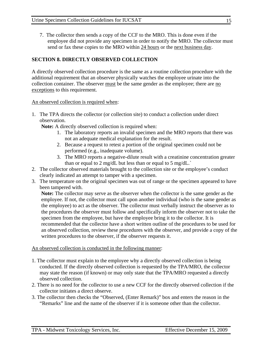7. The collector then sends a copy of the CCF to the MRO. This is done even if the employee did not provide any specimen in order to notify the MRO. The collector must send or fax these copies to the MRO within 24 hours or the next business day.

### **SECTION 8. DIRECTLY OBSERVED COLLECTION**

A directly observed collection procedure is the same as a routine collection procedure with the additional requirement that an observer physically watches the employee urinate into the collection container. The observer must be the same gender as the employee; there are no exceptions to this requirement.

#### An observed collection is required when:

1. The TPA directs the collector (or collection site) to conduct a collection under direct observation.

**Note:** A directly observed collection is required when:

- 1. The laboratory reports an invalid specimen and the MRO reports that there was not an adequate medical explanation for the result.
- 2. Because a request to retest a portion of the original specimen could not be performed (e.g., inadequate volume).
- 3. The MRO reports a negative-dilute result with a creatinine concentration greater than or equal to 2 mg/dL but less than or equal to 5 mg/dL.
- 2. The collector observed materials brought to the collection site or the employee's conduct clearly indicated an attempt to tamper with a specimen.
- 3. The temperature on the original specimen was out of range or the specimen appeared to have been tampered with.

**Note:** The collector may serve as the observer when the collector is the same gender as the employee. If not, the collector must call upon another individual (who is the same gender as the employee) to act as the observer. The collector must verbally instruct the observer as to the procedures the observer must follow and specifically inform the observer not to take the specimen from the employee, but have the employee bring it to the collector. It is recommended that the collector have a short written outline of the procedures to be used for an observed collection, review these procedures with the observer, and provide a copy of the written procedures to the observer, if the observer requests it.

#### An observed collection is conducted in the following manner:

- 1. The collector must explain to the employee why a directly observed collection is being conducted. If the directly observed collection is requested by the TPA/MRO, the collector may state the reason (if known) or may only state that the TPA/MRO requested a directly observed collection.
- 2. There is no need for the collector to use a new CCF for the directly observed collection if the collector initiates a direct observe.
- 3. The collector then checks the "Observed, (Enter Remark)" box and enters the reason in the "Remarks" line and the name of the observer if it is someone other than the collector.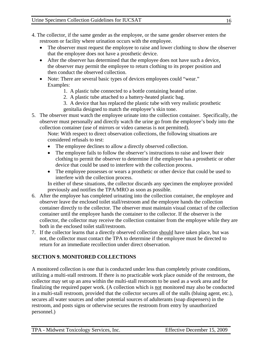- 4. The collector, if the same gender as the employee, or the same gender observer enters the restroom or facility where urination occurs with the employee.
	- The observer must request the employee to raise and lower clothing to show the observer that the employee does not have a prosthetic device.
	- After the observer has determined that the employee does not have such a device, the observer may permit the employee to return clothing to its proper position and then conduct the observed collection.
	- Note: There are several basic types of devices employees could "wear." Examples:
		- 1. A plastic tube connected to a bottle containing heated urine.
		- 2. A plastic tube attached to a battery-heated plastic bag.
		- 3. A device that has replaced the plastic tube with very realistic prosthetic genitalia designed to match the employee's skin tone.
- 5. The observer must watch the employee urinate into the collection container. Specifically, the observer must personally and directly watch the urine go from the employee's body into the collection container (use of mirrors or video cameras is not permitted).

Note: With respect to direct observation collections, the following situations are considered refusals to test:

- The employee declines to allow a directly observed collection.
- The employee fails to follow the observer's instructions to raise and lower their clothing to permit the observer to determine if the employee has a prosthetic or other device that could be used to interfere with the collection process.
- The employee possesses or wears a prosthetic or other device that could be used to interfere with the collection process.

In either of these situations, the collector discards any specimen the employee provided previously and notifies the TPA/MRO as soon as possible.

- 6. After the employee has completed urinating into the collection container, the employee and observer leave the enclosed toilet stall/restroom and the employee hands the collection container directly to the collector. The observer must maintain visual contact of the collection container until the employee hands the container to the collector. If the observer is the collector, the collector may receive the collection container from the employee while they are both in the enclosed toilet stall/restroom.
- 7. If the collector learns that a directly observed collection should have taken place, but was not, the collector must contact the TPA to determine if the employee must be directed to return for an immediate recollection under direct observation.

## **SECTION 9. MONITORED COLLECTIONS**

A monitored collection is one that is conducted under less than completely private conditions, utilizing a multi-stall restroom. If there is no practicable work place outside of the restroom, the collector may set up an area within the multi-stall restroom to be used as a work area and for finalizing the required paper work. (A collection which is not monitored may also be conducted in a multi-stall restroom, provided that the collector secures all of the stalls (bluing agent, etc.), secures all water sources and other potential sources of adulterants (soap dispensers) in the restroom, and posts signs or otherwise secures the restroom from entry by unauthorized personnel.)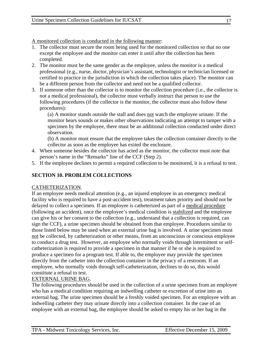A monitored collection is conducted in the following manner:

- 1. The collector must secure the room being used for the monitored collection so that no one except the employee and the monitor can enter it until after the collection has been completed.
- 2. The monitor must be the same gender as the employee, unless the monitor is a medical professional (e.g., nurse, doctor, physician's assistant, technologist or technician licensed or certified to practice in the jurisdiction in which the collection takes place). The monitor can be a different person from the collector and need not be a qualified collector.
- 3. If someone other than the collector is to monitor the collection procedure (i.e., the collector is not a medical professional), the collector must verbally instruct that person to use the following procedures (if the collector is the monitor, the collector must also follow these procedures):

(a) A monitor stands outside the stall and does not watch the employee urinate. If the monitor hears sounds or makes other observations indicating an attempt to tamper with a specimen by the employee, there must be an additional collection conducted under direct observation.

(b) A monitor must ensure that the employee takes the collection container directly to the collector as soon as the employee has exited the enclosure.

- 4. When someone besides the collector has acted as the monitor, the collector must note that person's name in the "Remarks" line of the CCF (Step 2).
- 5. If the employee declines to permit a required collection to be monitored, it is a refusal to test.

## **SECTION 10. PROBLEM COLLECTIONS**

#### CATHETERIZATION.

If an employee needs medical attention (e.g., an injured employee in an emergency medical facility who is required to have a post-accident test), treatment takes priority and should not be delayed to collect a specimen. If an employee is catheterized as part of a medical procedure (following an accident), once the employee's medical condition is stabilized and the employee can give his or her consent to the collection (e.g., understand that a collection is required, can sign the CCF), a urine specimen should be obtained from that employee. Procedures similar to those listed below may be used when an external urine bag is involved. A urine specimen must not be collected, by catheterization or other means, from an unconscious or conscious employee to conduct a drug test. However, an employee who normally voids through intermittent or selfcatheterization is required to provide a specimen in that manner if he or she is required to produce a specimen for a program test. If able to, the employee may provide the specimen directly from the catheter into the collection container in the privacy of a restroom. If an employee, who normally voids through self-catheterization, declines to do so, this would constitute a refusal to test.

## EXTERNAL URINE BAG.

The following procedures should be used in the collection of a urine specimen from an employee who has a medical condition requiring an indwelling catheter or excretion of urine into an external bag. The urine specimen should be a freshly voided specimen. For an employee with an indwelling catheter they may urinate directly into a collection container. In the case of an employee with an external bag, the employee should be asked to empty his or her bag in the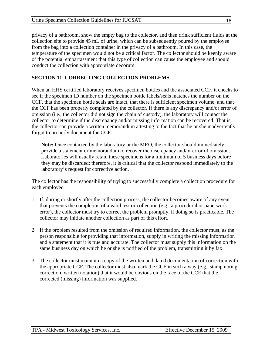privacy of a bathroom, show the empty bag to the collector, and then drink sufficient fluids at the collection site to provide 45 mL of urine, which can be subsequently poured by the employee from the bag into a collection container in the privacy of a bathroom. In this case, the temperature of the specimen would not be a critical factor. The collector should be keenly aware of the potential embarrassment that this type of collection can cause the employee and should conduct the collection with appropriate decorum.

## **SECTION 11. CORRECTING COLLECTION PROBLEMS**

When an HHS certified laboratory receives specimen bottles and the associated CCF, it checks to see if the specimen ID number on the specimen bottle labels/seals matches the number on the CCF, that the specimen bottle seals are intact, that there is sufficient specimen volume, and that the CCF has been properly completed by the collector. If there is any discrepancy and/or error of omission (i.e., the collector did not sign the chain of custody), the laboratory will contact the collector to determine if the discrepancy and/or missing information can be recovered. That is, the collector can provide a written memorandum attesting to the fact that he or she inadvertently forgot to properly document the CCF.

**Note:** Once contacted by the laboratory or the MRO, the collector should immediately provide a statement or memorandum to recover the discrepancy and/or error of omission. Laboratories will usually retain these specimens for a minimum of 5 business days before they may be discarded; therefore, it is critical that the collector respond immediately to the laboratory's request for corrective action.

The collector has the responsibility of trying to successfully complete a collection procedure for each employee.

- 1. If, during or shortly after the collection process, the collector becomes aware of any event that prevents the completion of a valid test or collection (e.g., a procedural or paperwork error), the collector must try to correct the problem promptly, if doing so is practicable. The collector may initiate another collection as part of this effort.
- 2. If the problem resulted from the omission of required information, the collector must, as the person responsible for providing that information, supply in writing the missing information and a statement that it is true and accurate. The collector must supply this information on the same business day on which he or she is notified of the problem, transmitting it by fax.
- 3. The collector must maintain a copy of the written and dated documentation of correction with the appropriate CCF. The collector must also mark the CCF in such a way (e.g., stamp noting correction, written notation) that it would be obvious on the face of the CCF that the corrected (missing) information was supplied.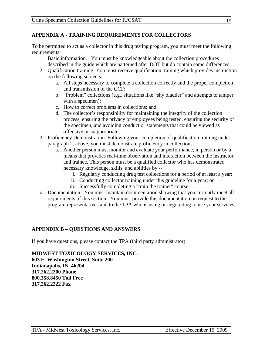#### **APPENDIX A - TRAINING REQUIREMENTS FOR COLLECTORS**

To be permitted to act as a collector in this drug testing program, you must meet the following requirements:

- 1. Basic information. You must be knowledgeable about the collection procedures described in the guide which are patterned after DOT but do contain some differences.
- 2. Qualification training. You must receive qualification training which provides instruction on the following subjects:
	- a. All steps necessary to complete a collection correctly and the proper completion and transmission of the CCF;
	- b. "Problem" collections (e.g., situations like "shy bladder" and attempts to tamper with a specimen);
	- c. How to correct problems in collections; and
	- d. The collector's responsibility for maintaining the integrity of the collection process, ensuring the privacy of employees being tested, ensuring the security of the specimen, and avoiding conduct or statements that could be viewed as offensive or inappropriate;
- 3. Proficiency Demonstration. Following your completion of qualification training under paragraph 2. above, you must demonstrate proficiency in collections.
	- a. Another person must monitor and evaluate your performance, in person or by a means that provides real-time observation and interaction between the instructor and trainee. This person must be a qualified collector who has demonstrated necessary knowledge, skills, and abilities by -
		- i. Regularly conducting drug test collections for a period of at least a year;
		- ii. Conducting collector training under this guideline for a year; or
		- iii. Successfully completing a "train the trainer" course.
- 4. Documentation. You must maintain documentation showing that you currently meet all requirements of this section. You must provide this documentation on request to the program representatives and to the TPA who is using or negotiating to use your services.

#### **APPENDIX B – QUESTIONS AND ANSWERS**

If you have questions, please contact the TPA (third party administrator):

**MIDWEST TOXICOLOGY SERVICES, INC. 603 E. Washington Street, Suite 200 Indianapolis, IN 46204 317.262.2200 Phone 800.358.8450 Toll Free 317.262.2222 Fax**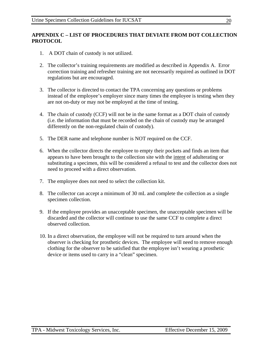#### **APPENDIX C – LIST OF PROCEDURES THAT DEVIATE FROM DOT COLLECTION PROTOCOL**

- 1. A DOT chain of custody is not utilized.
- 2. The collector's training requirements are modified as described in Appendix A. Error correction training and refresher training are not necessarily required as outlined in DOT regulations but are encouraged.
- 3. The collector is directed to contact the TPA concerning any questions or problems instead of the employee's employer since many times the employee is testing when they are not on-duty or may not be employed at the time of testing.
- 4. The chain of custody (CCF) will not be in the same format as a DOT chain of custody (i.e. the information that must be recorded on the chain of custody may be arranged differently on the non-regulated chain of custody).
- 5. The DER name and telephone number is NOT required on the CCF.
- 6. When the collector directs the employee to empty their pockets and finds an item that appears to have been brought to the collection site with the intent of adulterating or substituting a specimen, this will be considered a refusal to test and the collector does not need to proceed with a direct observation.
- 7. The employee does not need to select the collection kit.
- 8. The collector can accept a minimum of 30 mL and complete the collection as a single specimen collection.
- 9. If the employee provides an unacceptable specimen, the unacceptable specimen will be discarded and the collector will continue to use the same CCF to complete a direct observed collection.
- 10. In a direct observation, the employee will not be required to turn around when the observer is checking for prosthetic devices. The employee will need to remove enough clothing for the observer to be satisfied that the employee isn't wearing a prosthetic device or items used to carry in a "clean" specimen.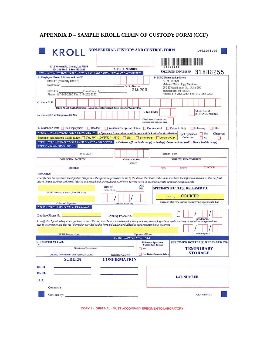| NON-FEDERAL CUSTODY AND CONTROL FORM<br>KROLL                                                                                                                                                                                                                                                                                                                                                         |                                                                                                                   |                    |                                                          |                                                           |                                                       |
|-------------------------------------------------------------------------------------------------------------------------------------------------------------------------------------------------------------------------------------------------------------------------------------------------------------------------------------------------------------------------------------------------------|-------------------------------------------------------------------------------------------------------------------|--------------------|----------------------------------------------------------|-----------------------------------------------------------|-------------------------------------------------------|
|                                                                                                                                                                                                                                                                                                                                                                                                       |                                                                                                                   |                    |                                                          |                                                           |                                                       |
| 1111 Newton St., Gretna, LA 70053<br>504-361-8989 1-800-433-3823                                                                                                                                                                                                                                                                                                                                      | <b>AIRBILL NUMBER</b>                                                                                             |                    |                                                          |                                                           |                                                       |
| <b>STEP 1: TO BE COMPLETED BY COLLECTOR OR EMPLOYER REPRESENTATIVE</b>                                                                                                                                                                                                                                                                                                                                |                                                                                                                   |                    |                                                          |                                                           | SPECIMEN ID NUMBER 31886255                           |
| A. Employer Name, Address and / or ID<br><b>IUCSAT (formerly IUCRC)</b>                                                                                                                                                                                                                                                                                                                               |                                                                                                                   |                    |                                                          | <b>B. MRO Name and Address</b><br>Dr. S. Moffatt          |                                                       |
| Contractor                                                                                                                                                                                                                                                                                                                                                                                            | <b>Facility Number</b>                                                                                            |                    |                                                          | Midwest Toxicology Services                               |                                                       |
| Trade/Local #<br>IUCSAT#                                                                                                                                                                                                                                                                                                                                                                              |                                                                                                                   | 216700             |                                                          | 603 E Washington St., Suite 200<br>Indianapolis, IN 46204 |                                                       |
| Phone: 317-262-2200 Fax: 317-262-2222                                                                                                                                                                                                                                                                                                                                                                 |                                                                                                                   |                    |                                                          |                                                           | Phone: 317-262-2200 Fax: 317-262-2222                 |
| C. Name / I.D.:                                                                                                                                                                                                                                                                                                                                                                                       |                                                                                                                   |                    |                                                          |                                                           |                                                       |
| PRINT ALL IN CAPS, Donor Name (Last, First, MI) leave space between names/ID/Auxiliary Data                                                                                                                                                                                                                                                                                                           |                                                                                                                   |                    |                                                          |                                                           |                                                       |
|                                                                                                                                                                                                                                                                                                                                                                                                       |                                                                                                                   | E. Test Code:      |                                                          |                                                           | Check here if                                         |
| D. Donor SSN or Employee ID No:                                                                                                                                                                                                                                                                                                                                                                       |                                                                                                                   |                    |                                                          |                                                           | ETHANOL required                                      |
|                                                                                                                                                                                                                                                                                                                                                                                                       |                                                                                                                   |                    | Check here if special test<br>required and indicate drug |                                                           |                                                       |
| F. Reason for Test: Pre-Employment<br>Random                                                                                                                                                                                                                                                                                                                                                          | Reasonable Suspicion / Cause Post Accident                                                                        |                    |                                                          | Return to Duty                                            | $\Box$ Other<br>$\Box$ Follow-up                      |
| <b>STEP 2: TO BE COMPLETED BY COLLECTOR</b> Specimen temperature must be read within 4 minutes of collection.                                                                                                                                                                                                                                                                                         |                                                                                                                   |                    |                                                          | <b>Split Specimen</b>                                     | $\Box$ Yes<br>Observed                                |
| Specimen temperature within range: $\Box$ Yes, 90° - 100°F/32° - 38°C $\Box$ No, $\Box$ Below 90°F $\Box$ Above 100°F                                                                                                                                                                                                                                                                                 |                                                                                                                   |                    |                                                          | Collection                                                | N <sub>0</sub><br>п                                   |
| STEP 3: TO BE COMPLETED BY COLLECTOR AND DONOR - Collector affixes bottle seal(s) to bottle(s). Collector dates seal(s). Donor initials seal(s).                                                                                                                                                                                                                                                      |                                                                                                                   |                    |                                                          |                                                           |                                                       |
| <b>STEP 4: CHAIN OF CUSTODY</b>                                                                                                                                                                                                                                                                                                                                                                       |                                                                                                                   |                    |                                                          |                                                           |                                                       |
| MTS/603                                                                                                                                                                                                                                                                                                                                                                                               |                                                                                                                   |                    |                                                          | Phone: Fax:                                               |                                                       |
| <b>COLLECTION FACILITY</b>                                                                                                                                                                                                                                                                                                                                                                            | <b>Collector Number</b>                                                                                           |                    |                                                          | <b>BUSINESS PHONE NUMBER</b>                              |                                                       |
|                                                                                                                                                                                                                                                                                                                                                                                                       |                                                                                                                   |                    |                                                          |                                                           |                                                       |
|                                                                                                                                                                                                                                                                                                                                                                                                       | 38425                                                                                                             |                    |                                                          |                                                           |                                                       |
| <b>ADDRESS</b>                                                                                                                                                                                                                                                                                                                                                                                        |                                                                                                                   |                    | <b>CITY</b>                                              | <b>STATE</b>                                              | <b>ZIP CODE</b>                                       |
| PRINT Collector's Name (First, MI, Last)                                                                                                                                                                                                                                                                                                                                                              | Time of<br>Collection                                                                                             | AM<br>PM           |                                                          | <b>SPECIMEN BOTTLE(S) RELEASED TO:</b><br>FedEx           | <b>COURIER</b>                                        |
| <b>Collector's Signature</b>                                                                                                                                                                                                                                                                                                                                                                          | Date (Mo./Day/Yr.)                                                                                                |                    |                                                          |                                                           | Name of Delivery Service Transferring Specimen to Lab |
|                                                                                                                                                                                                                                                                                                                                                                                                       |                                                                                                                   |                    |                                                          |                                                           |                                                       |
|                                                                                                                                                                                                                                                                                                                                                                                                       |                                                                                                                   |                    |                                                          | Date<br>o f                                               |                                                       |
| REMARKS:<br>I certify that the specimen identified on this form is the specimen presented to me by the donor, that it bears the same specimen identification number as that set forth<br>above, that it has been collected, labeled and sealed and released to the Delivery Service noted in accordance with applicable requirements.<br><b>STEP 5: TO BE COMPLETED BY DONOR</b><br>Daytime Phone No. | Evening Phone No.                                                                                                 |                    |                                                          | Birth                                                     | (Mo/Day/Yr.)                                          |
|                                                                                                                                                                                                                                                                                                                                                                                                       |                                                                                                                   |                    |                                                          |                                                           |                                                       |
|                                                                                                                                                                                                                                                                                                                                                                                                       |                                                                                                                   |                    |                                                          |                                                           |                                                       |
| <b>PRINT Donor's Name</b>                                                                                                                                                                                                                                                                                                                                                                             |                                                                                                                   | Signature of Donor |                                                          |                                                           | (Mo/Day/Yr.)                                          |
| I certify that I provided my urine specimen to the collector; that I have not adulterated it in any manner; that each specimen bottle used was sealed with a tamper-evident<br>seal in my presence and that the information provided on this form and on the label affixed to each specimen bottle is correct.<br><b>RECEIVED AT LAB:</b>                                                             | <b>TO BE COMPLETED BY LAB</b>                                                                                     |                    |                                                          |                                                           |                                                       |
|                                                                                                                                                                                                                                                                                                                                                                                                       |                                                                                                                   |                    | <b>Primary Specimen</b><br><b>Bottle Seal Intact</b>     |                                                           | SPECIMEN BOTTLE(S) RELEASED TO:                       |
| $\mathbf{x}$<br><b>Signature of Accessioner</b>                                                                                                                                                                                                                                                                                                                                                       |                                                                                                                   | $\Box$ Yes         |                                                          |                                                           | <b>TEMPORARY</b>                                      |
| (PRINT) Accessioner's Name (First, MI, Last)                                                                                                                                                                                                                                                                                                                                                          | Date (Mo./Day/Yr.)                                                                                                |                    | No, Enter Remark Below                                   |                                                           | <b>STORAGE</b>                                        |
| <b>SCREEN</b>                                                                                                                                                                                                                                                                                                                                                                                         | <b>CONFIRMATION</b>                                                                                               |                    |                                                          |                                                           |                                                       |
| <b>DRUG</b>                                                                                                                                                                                                                                                                                                                                                                                           |                                                                                                                   |                    |                                                          |                                                           |                                                       |
|                                                                                                                                                                                                                                                                                                                                                                                                       |                                                                                                                   |                    |                                                          |                                                           |                                                       |
|                                                                                                                                                                                                                                                                                                                                                                                                       |                                                                                                                   |                    |                                                          | <b>LAB NUMBER</b>                                         |                                                       |
|                                                                                                                                                                                                                                                                                                                                                                                                       |                                                                                                                   |                    |                                                          |                                                           |                                                       |
| <b>DRUG</b><br><b>THC</b><br>Comments:                                                                                                                                                                                                                                                                                                                                                                | the spinster, and the contract of the contract of the contract of the contract of the contract of the contract of |                    |                                                          |                                                           |                                                       |
| <b>Certified by:</b> The contract of the contract of the contract of the contract of the contract of the contract of the contract of the contract of the contract of the contract of the contract of the contract of the contract o                                                                                                                                                                   |                                                                                                                   |                    |                                                          |                                                           | FORM #1101 V 3.1                                      |

## **APPENDIX D – SAMPLE KROLL CHAIN OF CUSTODY FORM (CCF)**

COPY 1 - ORIGINAL - MUST ACCOMPANY SPECIMEN TO LABORATORY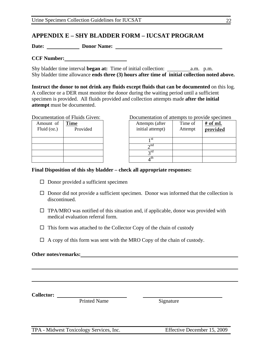## **APPENDIX E – SHY BLADDER FORM – IUCSAT PROGRAM**

**Date: Donor Name:** 

**CCF Number:** 

Shy bladder time interval **began at:** Time of initial collection: a.m. p.m. Shy bladder time allowance **ends three (3) hours after time of initial collection noted above.**

**Instruct the donor to not drink any fluids except fluids that can be documented** on this log. A collector or a DER must monitor the donor during the waiting period until a sufficient specimen is provided. All fluids provided and collection attempts made **after the initial attempt** must be documented.

| Amount of<br>Fluid (oz.) | Time<br>Provided | Attempts<br>initial atte |
|--------------------------|------------------|--------------------------|
|                          |                  | 1 St                     |
|                          |                  | $\lambda$ nd             |
|                          |                  | ∍rd                      |
|                          |                  | ı th                     |

Documentation of Fluids Given: Documentation of attempts to provide specimen

| ınt of<br>(oz.) | Time<br>Provided | Attempts (after<br>initial attempt) | Time of<br>Attempt | # of mL<br>provided |
|-----------------|------------------|-------------------------------------|--------------------|---------------------|
|                 |                  | 1 St                                |                    |                     |
|                 |                  | $\gamma$ nd                         |                    |                     |
|                 |                  | $\gamma$ rd                         |                    |                     |
|                 |                  |                                     |                    |                     |

#### **Final Disposition of this shy bladder – check all appropriate responses:**

- $\square$  Donor provided a sufficient specimen
- $\Box$  Donor did not provide a sufficient specimen. Donor was informed that the collection is discontinued.
- $\Box$  TPA/MRO was notified of this situation and, if applicable, donor was provided with medical evaluation referral form.
- $\Box$  This form was attached to the Collector Copy of the chain of custody
- $\Box$  A copy of this form was sent with the MRO Copy of the chain of custody.

#### **Other notes/remarks:**

**Collector:** 

Printed Name Signature

TPA - Midwest Toxicology Services, Inc. Effective December 15, 2009

22